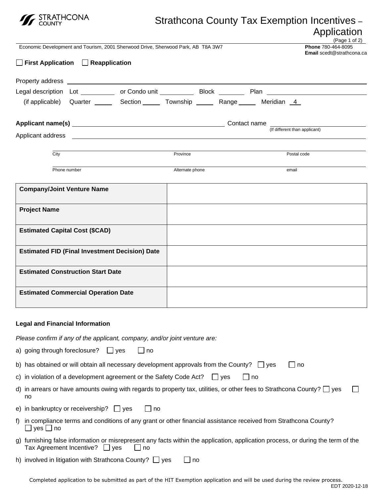

## Strathcona County Tax Exemption Incentives – Application

|                                                                                                |                               | Economic Development and Tourism, 2001 Sherwood Drive, Sherwood Park, AB T8A 3W7                                                                                          |           |                               |    |  |  |             | Phone 780-464-8095<br><b>Email</b> scedt@strathcona.ca | (Page 1 of 2) |
|------------------------------------------------------------------------------------------------|-------------------------------|---------------------------------------------------------------------------------------------------------------------------------------------------------------------------|-----------|-------------------------------|----|--|--|-------------|--------------------------------------------------------|---------------|
|                                                                                                |                               | $\Box$ First Application $\Box$ Reapplication                                                                                                                             |           |                               |    |  |  |             |                                                        |               |
|                                                                                                |                               |                                                                                                                                                                           |           |                               |    |  |  |             |                                                        |               |
|                                                                                                |                               | Legal description Lot __________ or Condo unit _________ Block _______ Plan _______________________                                                                       |           |                               |    |  |  |             |                                                        |               |
|                                                                                                |                               | (if applicable) Quarter _______ Section ______ Township ______ Range ______ Meridian 4                                                                                    |           |                               |    |  |  |             |                                                        |               |
|                                                                                                |                               |                                                                                                                                                                           |           | (If different than applicant) |    |  |  |             |                                                        |               |
|                                                                                                |                               |                                                                                                                                                                           |           |                               |    |  |  |             |                                                        |               |
|                                                                                                | City                          |                                                                                                                                                                           |           | Province                      |    |  |  | Postal code |                                                        |               |
|                                                                                                |                               | Phone number                                                                                                                                                              |           | Alternate phone               |    |  |  | email       |                                                        |               |
|                                                                                                |                               | <b>Company/Joint Venture Name</b>                                                                                                                                         |           |                               |    |  |  |             |                                                        |               |
|                                                                                                | <b>Project Name</b>           |                                                                                                                                                                           |           |                               |    |  |  |             |                                                        |               |
|                                                                                                |                               |                                                                                                                                                                           |           |                               |    |  |  |             |                                                        |               |
| <b>Estimated Capital Cost (\$CAD)</b><br><b>Estimated FID (Final Investment Decision) Date</b> |                               |                                                                                                                                                                           |           |                               |    |  |  |             |                                                        |               |
|                                                                                                |                               |                                                                                                                                                                           |           |                               |    |  |  |             |                                                        |               |
|                                                                                                |                               | <b>Estimated Construction Start Date</b>                                                                                                                                  |           |                               |    |  |  |             |                                                        |               |
| <b>Estimated Commercial Operation Date</b>                                                     |                               |                                                                                                                                                                           |           |                               |    |  |  |             |                                                        |               |
|                                                                                                |                               |                                                                                                                                                                           |           |                               |    |  |  |             |                                                        |               |
|                                                                                                |                               | <b>Legal and Financial Information</b>                                                                                                                                    |           |                               |    |  |  |             |                                                        |               |
|                                                                                                |                               | Please confirm if any of the applicant, company, and/or joint venture are:                                                                                                |           |                               |    |  |  |             |                                                        |               |
|                                                                                                | a) going through foreclosure? | $\Box$ yes                                                                                                                                                                | $\Box$ no |                               |    |  |  |             |                                                        |               |
|                                                                                                |                               | b) has obtained or will obtain all necessary development approvals from the County? $\Box$ yes<br>$\Box$ no                                                               |           |                               |    |  |  |             |                                                        |               |
|                                                                                                |                               | c) in violation of a development agreement or the Safety Code Act?<br>$\Box$ yes<br>$\lceil \cdot \rfloor$ no                                                             |           |                               |    |  |  |             |                                                        |               |
|                                                                                                | no                            | d) in arrears or have amounts owing with regards to property tax, utilities, or other fees to Strathcona County? $\Box$ yes                                               |           |                               |    |  |  |             |                                                        |               |
|                                                                                                |                               | e) in bankruptcy or receivership? $\Box$ yes                                                                                                                              | ∣ _l no   |                               |    |  |  |             |                                                        |               |
|                                                                                                | $yes \square$ no              | f) in compliance terms and conditions of any grant or other financial assistance received from Strathcona County?                                                         |           |                               |    |  |  |             |                                                        |               |
|                                                                                                |                               | g) furnishing false information or misrepresent any facts within the application, application process, or during the term of the<br>Tax Agreement Incentive?<br>yes<br>no |           |                               |    |  |  |             |                                                        |               |
|                                                                                                |                               | h) involved in litigation with Strathcona County? $\Box$ yes                                                                                                              |           |                               | no |  |  |             |                                                        |               |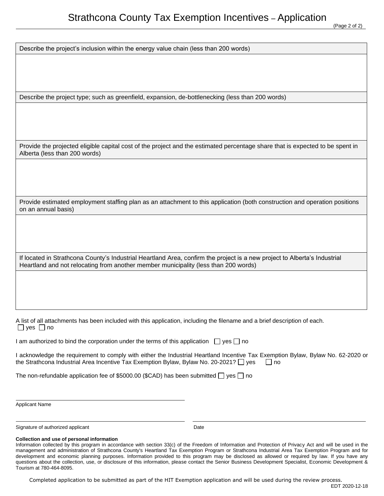Describe the project's inclusion within the energy value chain (less than 200 words)

Describe the project type; such as greenfield, expansion, de-bottlenecking (less than 200 words)

Provide the projected eligible capital cost of the project and the estimated percentage share that is expected to be spent in Alberta (less than 200 words)

Provide estimated employment staffing plan as an attachment to this application (both construction and operation positions on an annual basis)

If located in Strathcona County's Industrial Heartland Area, confirm the project is a new project to Alberta's Industrial Heartland and not relocating from another member municipality (less than 200 words)

A list of all attachments has been included with this application, including the filename and a brief description of each.  $\Box$  yes  $\Box$  no

| I am authorized to bind the corporation under the terms of this application $\Box$ yes $\Box$ no |  |
|--------------------------------------------------------------------------------------------------|--|
|--------------------------------------------------------------------------------------------------|--|

I acknowledge the requirement to comply with either the Industrial Heartland Incentive Tax Exemption Bylaw, Bylaw No. 62-2020 or the Strathcona Industrial Area Incentive Tax Exemption Bylaw, Bylaw No. 20-2021?  $\Box$  yes  $\Box$  no

The non-refundable application fee of \$5000.00 (\$CAD) has been submitted  $\Box$  yes  $\Box$  no

Applicant Name

Signature of authorized applicant Date Date Date

## **Collection and use of personal information**

Information collected by this program in accordance with section 33(c) of the Freedom of Information and Protection of Privacy Act and will be used in the management and administration of Strathcona County's Heartland Tax Exemption Program or Strathcona Industrial Area Tax Exemption Program and for development and economic planning purposes. Information provided to this program may be disclosed as allowed or required by law. If you have any questions about the collection, use, or disclosure of this information, please contact the Senior Business Development Specialist, Economic Development & Tourism at 780-464-8095.

Completed application to be submitted as part of the HIT Exemption application and will be used during the review process.